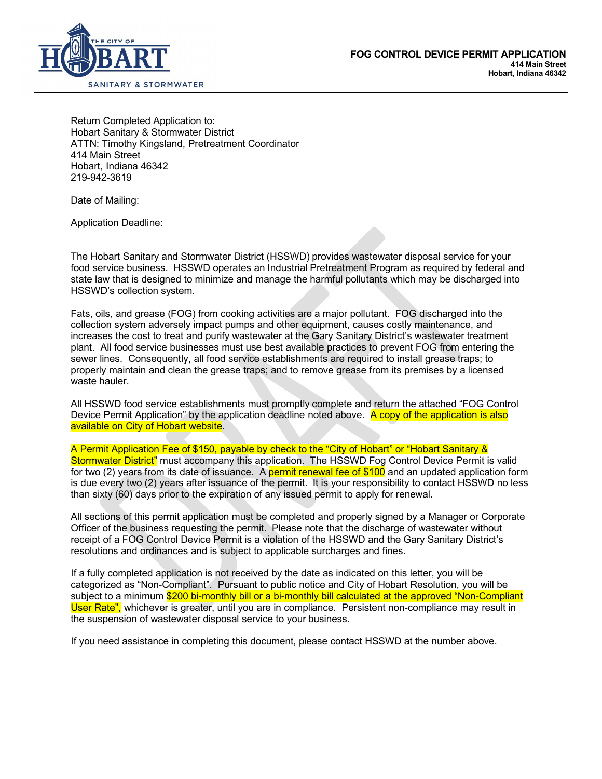

Return Completed Application to: Hobart Sanitary & Stormwater District ATTN: Timothy Kingsland, Pretreatment Coordinator 414 Main Street Hobart, Indiana 46342 219-942-3619

Date of Mailing:

Application Deadline:

The Hobart Sanitary and Stormwater District (HSSWD) provides wastewater disposal service for your food service business. HSSWD operates an Industrial Pretreatment Program as required by federal and state law that is designed to minimize and manage the harmful pollutants which may be discharged into HSSWD's collection system.

Fats, oils, and grease (FOG) from cooking activities are a major pollutant. FOG discharged into the collection system adversely impact pumps and other equipment, causes costly maintenance, and increases the cost to treat and purify wastewater at the Gary Sanitary District's wastewater treatment plant. All food service businesses must use best available practices to prevent FOG from entering the sewer lines. Consequently, all food service establishments are required to install grease traps; to properly maintain and clean the grease traps; and to remove grease from its premises by a licensed waste hauler.

All HSSWD food service establishments must promptly complete and return the attached "FOG Control Device Permit Application" by the application deadline noted above. A copy of the application is also available on City of Hobart website.

A Permit Application Fee of \$150, payable by check to the "City of Hobart" or "Hobart Sanitary & Stormwater District" must accompany this application. The HSSWD Fog Control Device Permit is valid for two (2) years from its date of issuance. A permit renewal fee of  $$100$  and an updated application form is due every two (2) years after issuance of the permit. It is your responsibility to contact HSSWD no less than sixty (60) days prior to the expiration of any issued permit to apply for renewal.

All sections of this permit application must be completed and properly signed by a Manager or Corporate Officer of the business requesting the permit. Please note that the discharge of wastewater without receipt of a FOG Control Device Permit is a violation of the HSSWD and the Gary Sanitary District's resolutions and ordinances and is subject to applicable surcharges and fines.

If a fully completed application is not received by the date as indicated on this letter, you will be categorized as "Non-Compliant". Pursuant to public notice and City of Hobart Resolution, you will be subject to a minimum \$200 bi-monthly bill or a bi-monthly bill calculated at the approved "Non-Compliant User Rate", whichever is greater, until you are in compliance. Persistent non-compliance may result in the suspension of wastewater disposal service to your business.

If you need assistance in completing this document, please contact HSSWD at the number above.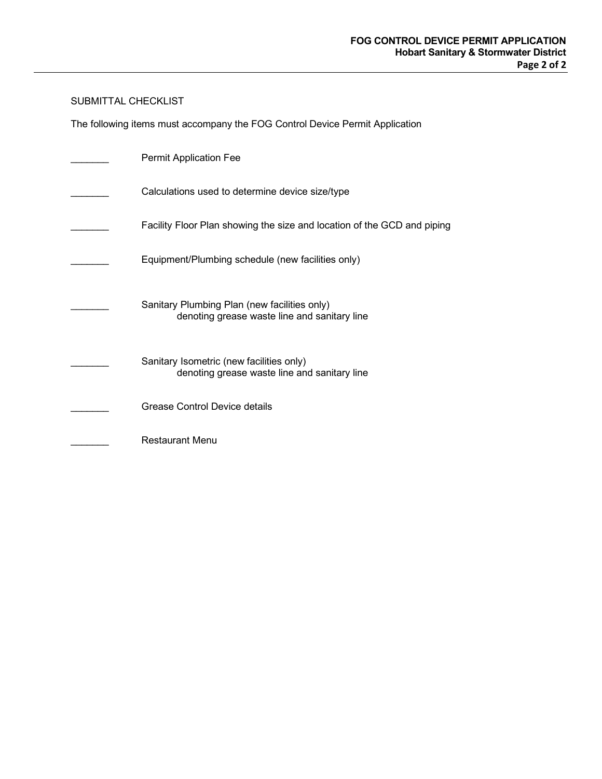## SUBMITTAL CHECKLIST

The following items must accompany the FOG Control Device Permit Application

| <b>Permit Application Fee</b>                                                                |
|----------------------------------------------------------------------------------------------|
| Calculations used to determine device size/type                                              |
| Facility Floor Plan showing the size and location of the GCD and piping                      |
| Equipment/Plumbing schedule (new facilities only)                                            |
| Sanitary Plumbing Plan (new facilities only)<br>denoting grease waste line and sanitary line |
| Sanitary Isometric (new facilities only)<br>denoting grease waste line and sanitary line     |
| Grease Control Device details                                                                |
| <b>Restaurant Menu</b>                                                                       |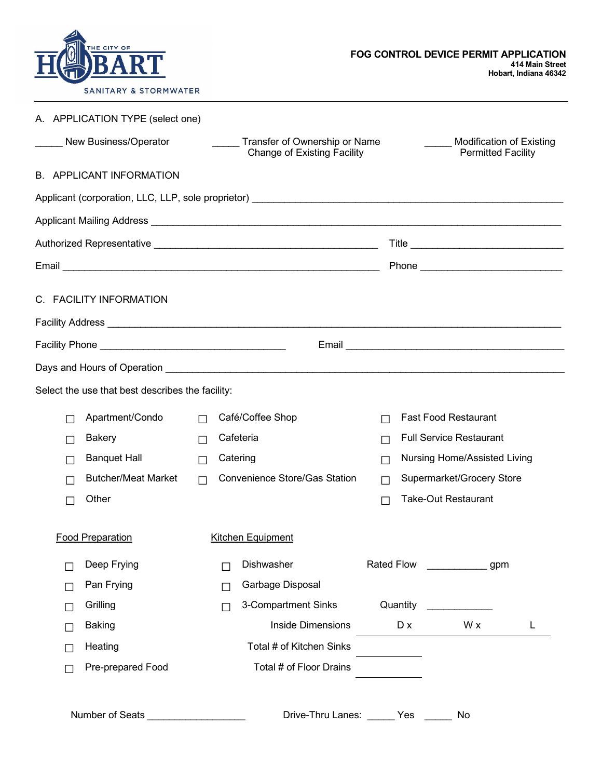

| New Business/Operator<br>Transfer of Ownership or Name<br><b>Change of Existing Facility</b> |                                                  |                     |                                           |                          | <b>Modification of Existing</b><br><b>Permitted Facility</b> |                                      |                             |     |  |
|----------------------------------------------------------------------------------------------|--------------------------------------------------|---------------------|-------------------------------------------|--------------------------|--------------------------------------------------------------|--------------------------------------|-----------------------------|-----|--|
|                                                                                              | <b>B. APPLICANT INFORMATION</b>                  |                     |                                           |                          |                                                              |                                      |                             |     |  |
|                                                                                              |                                                  |                     |                                           |                          |                                                              |                                      |                             |     |  |
|                                                                                              |                                                  |                     |                                           |                          |                                                              |                                      |                             |     |  |
|                                                                                              |                                                  |                     |                                           |                          |                                                              |                                      |                             |     |  |
|                                                                                              |                                                  |                     |                                           |                          |                                                              |                                      |                             |     |  |
|                                                                                              | C. FACILITY INFORMATION                          |                     |                                           |                          |                                                              |                                      |                             |     |  |
|                                                                                              |                                                  |                     |                                           |                          |                                                              |                                      |                             |     |  |
|                                                                                              |                                                  |                     |                                           |                          |                                                              |                                      |                             |     |  |
|                                                                                              |                                                  |                     |                                           |                          |                                                              |                                      |                             |     |  |
|                                                                                              | Select the use that best describes the facility: |                     |                                           |                          |                                                              |                                      |                             |     |  |
|                                                                                              | Apartment/Condo                                  | П                   |                                           | Café/Coffee Shop         | П                                                            |                                      | <b>Fast Food Restaurant</b> |     |  |
|                                                                                              | Bakery                                           |                     | Cafeteria                                 |                          |                                                              | <b>Full Service Restaurant</b><br>ΙI |                             |     |  |
|                                                                                              | <b>Banquet Hall</b>                              | Catering<br>$\perp$ |                                           |                          | <b>Nursing Home/Assisted Living</b><br>$\mathsf{L}$          |                                      |                             |     |  |
|                                                                                              | <b>Butcher/Meat Market</b>                       |                     | <b>Convenience Store/Gas Station</b><br>П |                          | П                                                            | Supermarket/Grocery Store            |                             |     |  |
| $\Box$                                                                                       | Other                                            |                     |                                           |                          | <b>Take-Out Restaurant</b><br>П                              |                                      |                             |     |  |
|                                                                                              | <b>Food Preparation</b>                          |                     |                                           | Kitchen Equipment        |                                                              |                                      |                             |     |  |
|                                                                                              | Deep Frying                                      |                     | Dishwasher                                |                          | Rated Flow                                                   |                                      |                             | gpm |  |
|                                                                                              | Pan Frying                                       |                     |                                           | Garbage Disposal         |                                                              |                                      |                             |     |  |
|                                                                                              | Grilling                                         |                     | $\Box$                                    | 3-Compartment Sinks      | Quantity                                                     |                                      |                             |     |  |
|                                                                                              | <b>Baking</b>                                    |                     |                                           | <b>Inside Dimensions</b> |                                                              | D x                                  | W x                         | L   |  |
|                                                                                              | Heating                                          |                     |                                           | Total # of Kitchen Sinks |                                                              |                                      |                             |     |  |
| $\mathsf{L}$                                                                                 | Pre-prepared Food                                |                     |                                           | Total # of Floor Drains  |                                                              |                                      |                             |     |  |